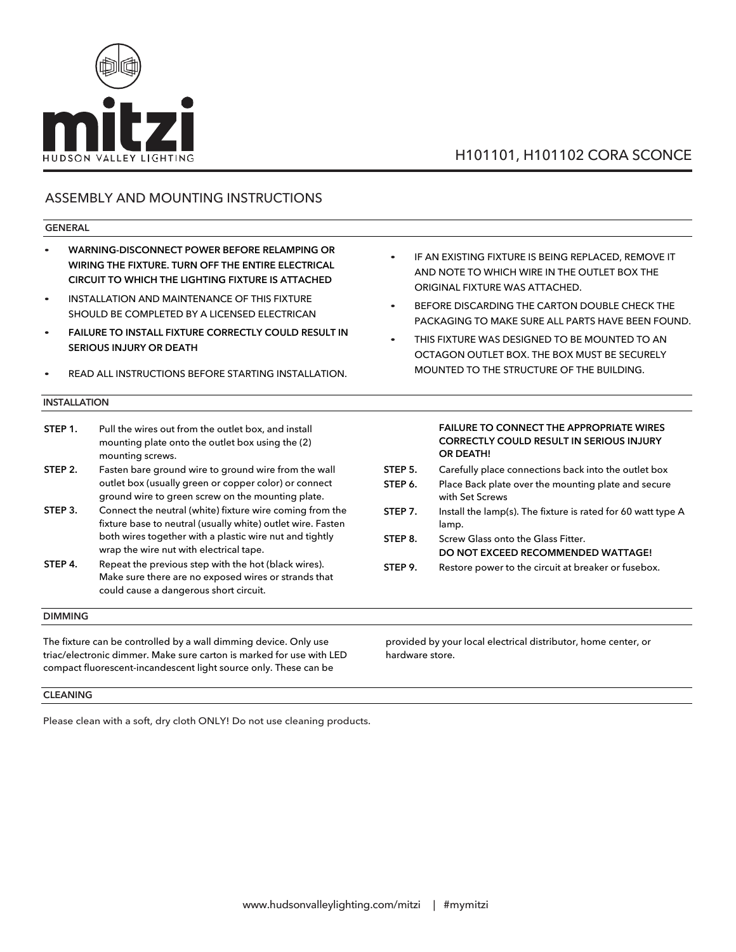

### ASSEMBLY AND MOUNTING INSTRUCTIONS

### **GENERAL**

- **WARNING-DISCONNECT POWER BEFORE RELAMPING OR WIRING THE FIXTURE. TURN OFF THE ENTIRE ELECTRICAL CIRCUIT TO WHICH THE LIGHTING FIXTURE IS ATTACHED**
- INSTALLATION AND MAINTENANCE OF THIS FIXTURE SHOULD BE COMPLETED BY A LICENSED ELECTRICAN
- **FAILURE TO INSTALL FIXTURE CORRECTLY COU**L**D RESULT IN SER**IO**US INJURY OR DEATH**
- READ ALL INSTRUCTIONS BEFORE STARTING INSTALLATION.

#### **INSTALLATION**

| STEP 1. | Pull the wires out from the outlet box, and install<br>mounting plate onto the outlet box using the (2) |
|---------|---------------------------------------------------------------------------------------------------------|
|         | mounting screws.                                                                                        |
| STEP 2. | Fasten bare ground wire to ground wire from the wall                                                    |

- outlet box (usually green or copper color) or connect ground wire to green screw on the mounting plate.
- **STEP 3.** Connect the neutral (white) fixture wire coming from the fixture base to neutral (usually white) outlet wire. Fasten both wires together with a plastic wire nut and tightly wrap the wire nut with electrical tape.
- **STEP 4.** Repeat the previous step with the hot (black wires). Make sure there are no exposed wires or strands that could cause a dangerous short circuit.

### **DIMMING**

The fixture can be controlled by a wall dimming device. Only use triac/electronic dimmer. Make sure carton is marked for use with LED compact fluorescent-incandescent light source only. These can be

IF AN EXISTING FIXTURE IS BEING REPLACED, REMOVE IT AND NOTE TO WHICH WIRE IN THE OUTLET BOX THE ORIGINAL FIXTURE WAS ATTACHED.

- BEFORE DISCARDING THE CARTON DOUBLE CHECK THE PACKAGING TO MAKE SURE ALL PARTS HAVE BEEN FOUND.
- THIS FIXTURE WAS DESIGNED TO BE MOUNTED TO AN OCTAGON OUTLET BOX. THE BOX MUST BE SECURELY MOUNTED TO THE STRUCTURE OF THE BUILDING.

### **FAILURE TO CONNECT THE APPROPRIATE WIRES CORRECTLY COULD RESULT IN SERIOUS INJURY OR DEATH! STEP 5.** Carefully place connections back into the outlet box

- **STEP 6.** Place Back plate over the mounting plate and secure
- with Set Screws
- **STEP 7.** Install the lamp(s). The fixture is rated for 60 watt type A lamp.
- **STEP 8.** Screw Glass onto the Glass Fitter. **DO NOT EXCEED RECOMMENDED WATTAGE!**
- **STEP 9.** Restore power to the circuit at breaker or fusebox.

provided by your local electrical distributor, home center, or hardware store.

#### **CLEANING**

Please clean with a soft, dry cloth ONLY! Do not use cleaning products.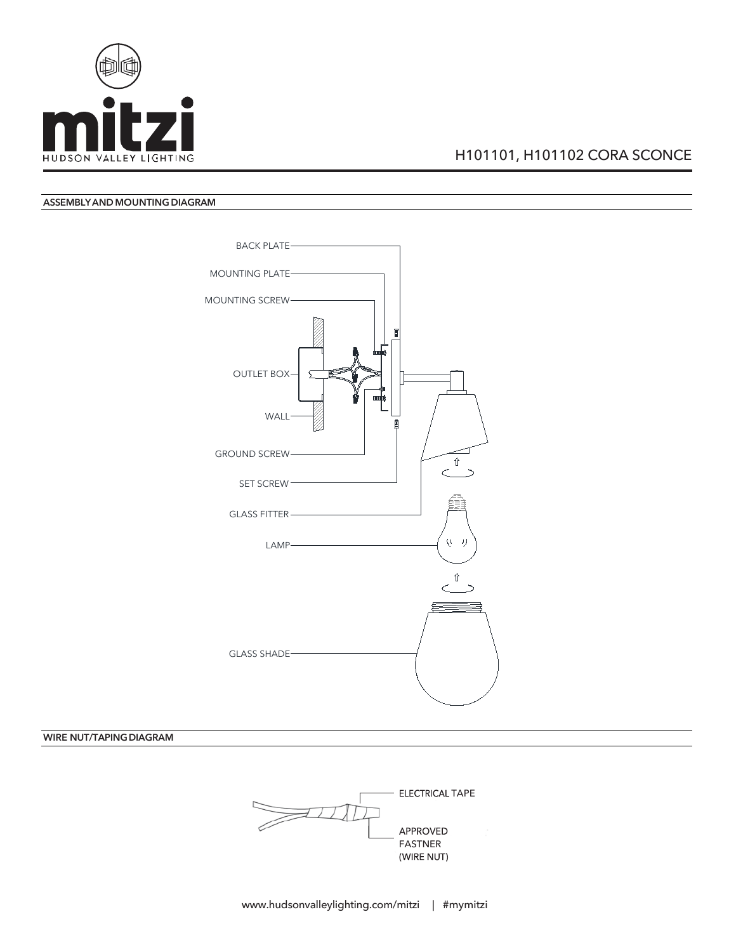

### **ASSEMBLYAND MOUNTINGDIAGRAM**



**WIRE NUT/TAPINGDIAGRAM**

ELECTRICAL TAPE APPROVED FASTNER (WIRE NUT)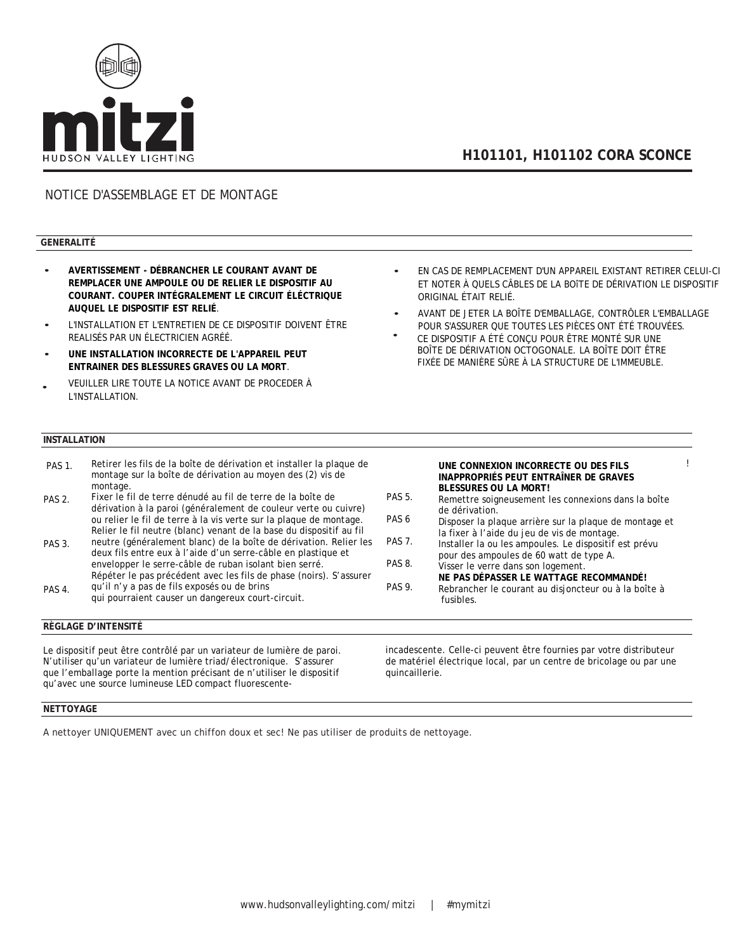

### NOTICE D'ASSEMBLAGE ET DE MONTAGE

### **GENERALITÉ**

- **AVERTISSEMENT - DÉBRANCHER LE COURANT AVANT DE REMPLACER UNE AMPOULE OU DE RELIER LE DISPOSITIF AU COURANT. COUPER INTÉGRALEMENT LE CIRCUIT ÉLÉCTRIQUE AUQUEL LE DISPOSITIF EST RELIÉ**.
- L'INSTALLATION ET L'ENTRETIEN DE CE DISPOSITIF DOIVENT ÊTRE REALISÉS PAR UN ÉLECTRICIEN AGRÉÉ.
- **UNE INSTALLATION INCORRECTE DE L'APPAREIL PEUT ENTRAINER DES BLESSURES GRAVES OU LA MORT**.
- VEUILLER LIRE TOUTE LA NOTICE AVANT DE PROCEDER À L'INSTALLATION. •

#### **INSTALLATION**

- PAS 1. Retirer les fils de la boîte de dérivation et installer la plaque de montage sur la boîte de dérivation au moyen des (2) vis de **STEP 2.** Fasten bare ground wire to ground wire from the wall wire from the wall wire from the wall wire from the wall wire from the wall wire from the wall wire from the wall wire from the wall wire from the wall wire fr Fixer le fil de terre dénudé au fil de terre de la boîte de dérivation à la paroi (généralement de couleur verte ou cuivre) ou relier le fil de terre à la vis verte sur la plaque de montage. Relier le fil neutre (blanc) venant de la base du dispositif au fil neutre (généralement blanc) de la boîte de dérivation. Relier les deux fils entre eux à l'aide d'un serre-câble en plastique et envelopper le serre-câble de ruban isolant bien serré.<br>Décembre PAS 1. PAS 2. PAS 3. montage.
- Répéter le pas précédent avec les fils de phase (noirs). S'assurer qu'il n'y a pas de fils exposés ou de brins<br>. PAS 4.
- qui pourraient causer un dangereux court-circuit.

### **RÈGLAGE D'INTENSITÉ**

Le dispositif peut être contrôlé par un variateur de lumière de paroi. N'utiliser qu'un variateur de lumière triad/électronique. S'assurer que l'emballage porte la mention précisant de n'utiliser le dispositif qu'avec une source lumineuse LED compact fluorescente• EN CAS DE REMPLACEMENT D'UN APPAREIL EXISTANT RETIRER • EN CAS DE REMPLACEMENT D'UN APPAREIL EXISTANT RETIRER CELUI-CI ET NOTER À QUELS CÂBLES DE LA BOITE DE DÉRIVATION LE DISPOSITIF LE DISPOSITIF ORIGINAL ÉTAIT RELIÉ. ORIGINAL ÉTAIT RELIÉ.

- AVANT DE JETER LA BOÎTE D'EMBALLAGE, CONTRÔLER AVANT DE JETER LA BOÎTE D'EMBALLAGE, CONTRÔLER L'EMBALLAGE POUR S'ASSURER QUE TOUTES LES PIÈCES ONT ÉTÉ TROUVÉES.
- **CE DISPOSITIF A ÉTÉ CONÇU POUR ÊTRE MONTÉ SUR UNE** FIXÉE DE MANIÈRE SÛRE À LA STRUCTURE DE L'IMMEUBLE.<br>. BOÎTE DE DÉRIVATION OCTOGONALE. LA BOÎTE DOIT ÊTRE •
- UNE CONNEXION INCORRECTE OU DES FILS <sup>!</sup> **INAPPROPRIÉS PEUT ENTRAÎNER DE GRAVES STEP 6. BLESSURES OU LA MORT!**
- Remettre soigneusement les connexions dans la boîte **STEP 7.** Install the dérivation. PAS 5.
- Disposer la plaque arrière sur la plaque de montage et la fixer à l'aide du jeu de vis de montage. PAS 6
- Installer la ou les ampoules. Le dispositif est prévu pour des ampoules de 60 watt de type A.<br>Pos PAS 7. PAS 8.
- PAS 9. Visser le verre dans son logement. **NE PAS DÉPASSER LE WATTAGE RECOMMANDÉ!** Rebrancher le courant au disjoncteur ou à la boîte à
- fusibles.

incadescente. Celle-ci peuvent être fournies par votre distributeur de matériel électrique local, par un centre de bricolage ou par une quincaillerie.

#### **NETTOYAGE**

A nettoyer UNIQUEMENT avec un chiffon doux et sec! Ne pas utiliser de produits de nettoyage.